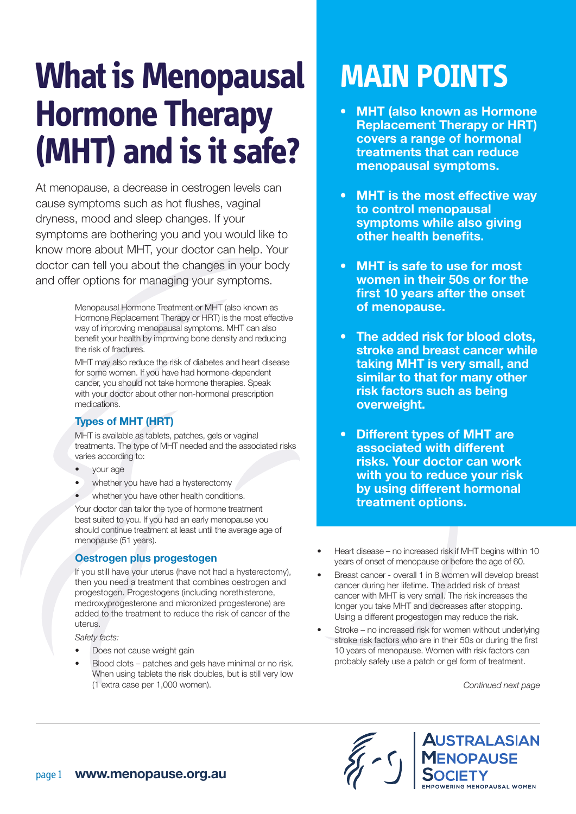# **What is Menopausal Hormone Therapy (MHT) and is it safe?**

At menopause, a decrease in oestrogen levels can cause symptoms such as hot flushes, vaginal dryness, mood and sleep changes. If your symptoms are bothering you and you would like to know more about MHT, your doctor can help. Your doctor can tell you about the changes in your body and offer options for managing your symptoms.

> Menopausal Hormone Treatment or MHT (also known as Hormone Replacement Therapy or HRT) is the most effective way of improving menopausal symptoms. MHT can also benefit your health by improving bone density and reducing the risk of fractures.

MHT may also reduce the risk of diabetes and heart disease for some women. If you have had hormone-dependent cancer, you should not take hormone therapies. Speak with your doctor about other non-hormonal prescription medications.

#### Types of MHT (HRT)

MHT is available as tablets, patches, gels or vaginal treatments. The type of MHT needed and the associated risks varies according to:

- your age
- whether you have had a hysterectomy
- whether you have other health conditions.

Your doctor can tailor the type of hormone treatment best suited to you. If you had an early menopause you should continue treatment at least until the average age of menopause (51 years).

#### Oestrogen plus progestogen

If you still have your uterus (have not had a hysterectomy), then you need a treatment that combines oestrogen and progestogen. Progestogens (including norethisterone, medroxyprogesterone and micronized progesterone) are added to the treatment to reduce the risk of cancer of the uterus.

*Safety facts:*

- Does not cause weight gain
- Blood clots patches and gels have minimal or no risk. When using tablets the risk doubles, but is still very low (1 extra case per 1,000 women).

## **MAIN POINTS**

- **MHT (also known as Hormone)** Replacement Therapy or HRT) covers a range of hormonal treatments that can reduce menopausal symptoms.
- MHT is the most effective way to control menopausal symptoms while also giving other health benefits.
- MHT is safe to use for most women in their 50s or for the first 10 years after the onset of menopause.
- The added risk for blood clots. stroke and breast cancer while taking MHT is very small, and similar to that for many other risk factors such as being overweight.
- Different types of MHT are associated with different risks. Your doctor can work with you to reduce your risk by using different hormonal treatment options.
- Heart disease no increased risk if MHT begins within 10 years of onset of menopause or before the age of 60.
- Breast cancer overall 1 in 8 women will develop breast cancer during her lifetime. The added risk of breast cancer with MHT is very small. The risk increases the longer you take MHT and decreases after stopping. Using a different progestogen may reduce the risk.
- Stroke no increased risk for women without underlying stroke risk factors who are in their 50s or during the first 10 years of menopause. Women with risk factors can probably safely use a patch or gel form of treatment.

*Continued next page*

**AUSTRALASIAN** ENOPAUSE

ING MENOPAUSAL WOMEN